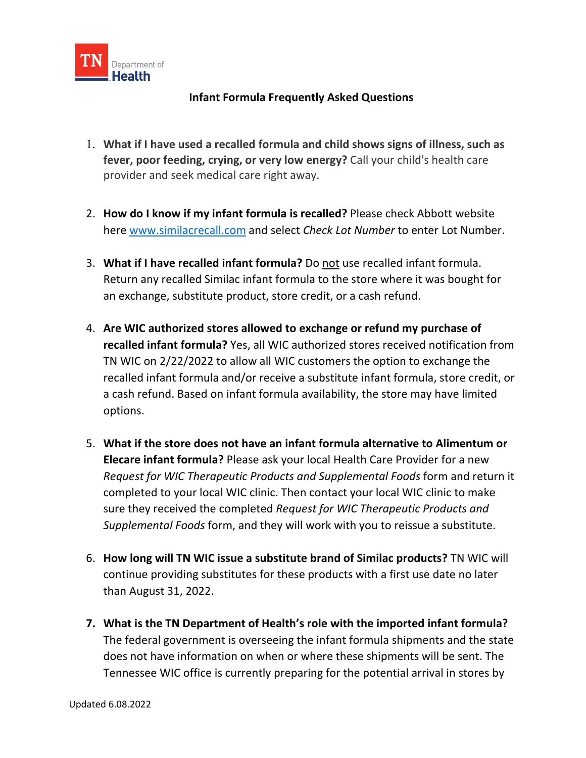

## **Infant Formula Frequently Asked Questions**

- 1. **What if I have used a recalled formula and child shows signs of illness, such as fever, poor feeding, crying, or very low energy?** Call your child's health care provider and seek medical care right away.
- 2. **How do I know if my infant formula is recalled?** Please check Abbott website here [www.similacrecall.com](https://www.similacrecall.com/us/en/home.html) and select *Check Lot Number* to enter Lot Number.
- 3. **What if I have recalled infant formula?** Do not use recalled infant formula. Return any recalled Similac infant formula to the store where it was bought for an exchange, substitute product, store credit, or a cash refund.
- 4. **Are WIC authorized stores allowed to exchange or refund my purchase of recalled infant formula?** Yes, all WIC authorized stores received notification from TN WIC on 2/22/2022 to allow all WIC customers the option to exchange the recalled infant formula and/or receive a substitute infant formula, store credit, or a cash refund. Based on infant formula availability, the store may have limited options.
- 5. **What if the store does not have an infant formula alternative to Alimentum or Elecare infant formula?** Please ask your local Health Care Provider for a new *Request for WIC Therapeutic Products and Supplemental Foods* form and return it completed to your local WIC clinic. Then contact your local WIC clinic to make sure they received the completed *Request for WIC Therapeutic Products and Supplemental Foods* form, and they will work with you to reissue a substitute.
- 6. **How long will TN WIC issue a substitute brand of Similac products?** TN WIC will continue providing substitutes for these products with a first use date no later than August 31, 2022.
- **7. What is the TN Department of Health's role with the imported infant formula?**  The federal government is overseeing the infant formula shipments and the state does not have information on when or where these shipments will be sent. The Tennessee WIC office is currently preparing for the potential arrival in stores by